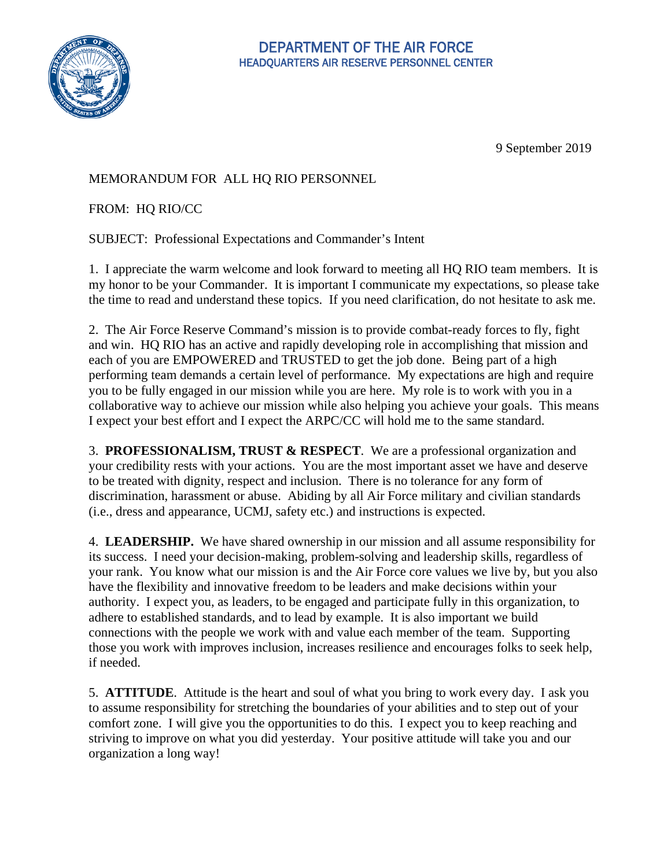

## DEPARTMENT OF THE AIR FORCE HEADQUARTERS AIR RESERVE PERSONNEL CENTER

9 September 2019

## MEMORANDUM FOR ALL HQ RIO PERSONNEL

FROM: HQ RIO/CC

SUBJECT: Professional Expectations and Commander's Intent

1. I appreciate the warm welcome and look forward to meeting all HQ RIO team members. It is my honor to be your Commander. It is important I communicate my expectations, so please take the time to read and understand these topics. If you need clarification, do not hesitate to ask me.

2. The Air Force Reserve Command's mission is to provide combat-ready forces to fly, fight and win. HQ RIO has an active and rapidly developing role in accomplishing that mission and each of you are EMPOWERED and TRUSTED to get the job done. Being part of a high performing team demands a certain level of performance. My expectations are high and require you to be fully engaged in our mission while you are here. My role is to work with you in a collaborative way to achieve our mission while also helping you achieve your goals. This means I expect your best effort and I expect the ARPC/CC will hold me to the same standard.

3. **PROFESSIONALISM, TRUST & RESPECT**. We are a professional organization and your credibility rests with your actions. You are the most important asset we have and deserve to be treated with dignity, respect and inclusion. There is no tolerance for any form of discrimination, harassment or abuse. Abiding by all Air Force military and civilian standards (i.e., dress and appearance, UCMJ, safety etc.) and instructions is expected.

4. **LEADERSHIP.** We have shared ownership in our mission and all assume responsibility for its success. I need your decision-making, problem-solving and leadership skills, regardless of your rank. You know what our mission is and the Air Force core values we live by, but you also have the flexibility and innovative freedom to be leaders and make decisions within your authority. I expect you, as leaders, to be engaged and participate fully in this organization, to adhere to established standards, and to lead by example. It is also important we build connections with the people we work with and value each member of the team. Supporting those you work with improves inclusion, increases resilience and encourages folks to seek help, if needed.

5. **ATTITUDE**. Attitude is the heart and soul of what you bring to work every day. I ask you to assume responsibility for stretching the boundaries of your abilities and to step out of your comfort zone. I will give you the opportunities to do this. I expect you to keep reaching and striving to improve on what you did yesterday. Your positive attitude will take you and our organization a long way!